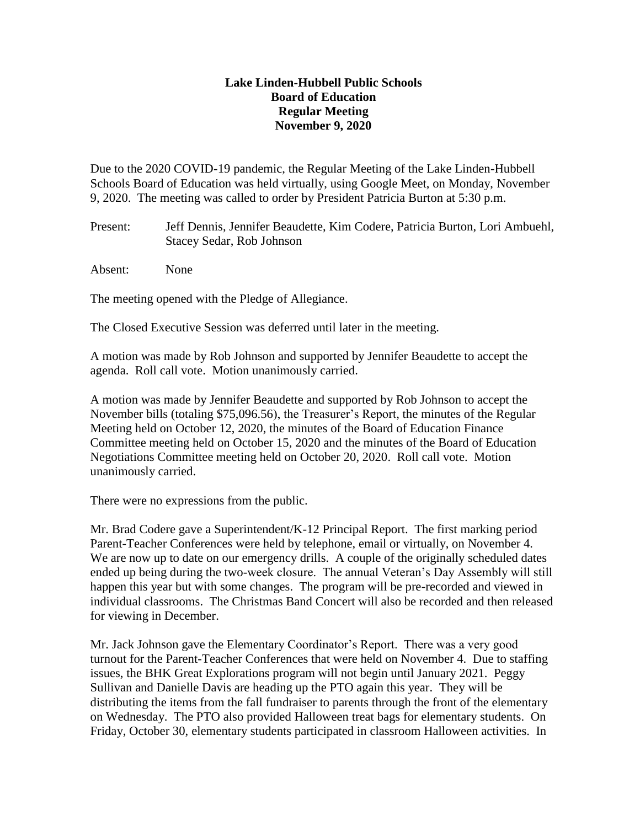## **Lake Linden-Hubbell Public Schools Board of Education Regular Meeting November 9, 2020**

Due to the 2020 COVID-19 pandemic, the Regular Meeting of the Lake Linden-Hubbell Schools Board of Education was held virtually, using Google Meet, on Monday, November 9, 2020. The meeting was called to order by President Patricia Burton at 5:30 p.m.

Present: Jeff Dennis, Jennifer Beaudette, Kim Codere, Patricia Burton, Lori Ambuehl, Stacey Sedar, Rob Johnson

Absent: None

The meeting opened with the Pledge of Allegiance.

The Closed Executive Session was deferred until later in the meeting.

A motion was made by Rob Johnson and supported by Jennifer Beaudette to accept the agenda. Roll call vote. Motion unanimously carried.

A motion was made by Jennifer Beaudette and supported by Rob Johnson to accept the November bills (totaling \$75,096.56), the Treasurer's Report, the minutes of the Regular Meeting held on October 12, 2020, the minutes of the Board of Education Finance Committee meeting held on October 15, 2020 and the minutes of the Board of Education Negotiations Committee meeting held on October 20, 2020. Roll call vote. Motion unanimously carried.

There were no expressions from the public.

Mr. Brad Codere gave a Superintendent/K-12 Principal Report. The first marking period Parent-Teacher Conferences were held by telephone, email or virtually, on November 4. We are now up to date on our emergency drills. A couple of the originally scheduled dates ended up being during the two-week closure. The annual Veteran's Day Assembly will still happen this year but with some changes. The program will be pre-recorded and viewed in individual classrooms. The Christmas Band Concert will also be recorded and then released for viewing in December.

Mr. Jack Johnson gave the Elementary Coordinator's Report. There was a very good turnout for the Parent-Teacher Conferences that were held on November 4. Due to staffing issues, the BHK Great Explorations program will not begin until January 2021. Peggy Sullivan and Danielle Davis are heading up the PTO again this year. They will be distributing the items from the fall fundraiser to parents through the front of the elementary on Wednesday. The PTO also provided Halloween treat bags for elementary students. On Friday, October 30, elementary students participated in classroom Halloween activities. In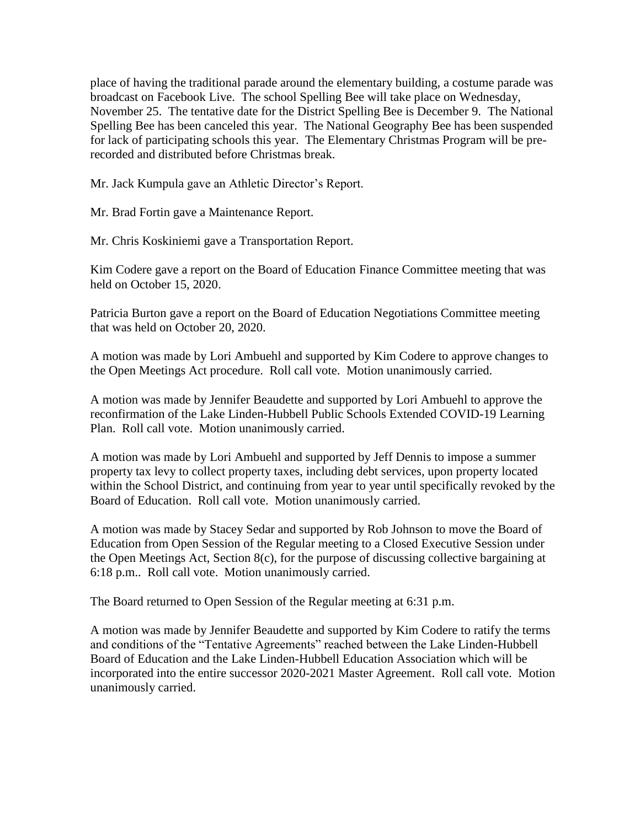place of having the traditional parade around the elementary building, a costume parade was broadcast on Facebook Live. The school Spelling Bee will take place on Wednesday, November 25. The tentative date for the District Spelling Bee is December 9. The National Spelling Bee has been canceled this year. The National Geography Bee has been suspended for lack of participating schools this year. The Elementary Christmas Program will be prerecorded and distributed before Christmas break.

Mr. Jack Kumpula gave an Athletic Director's Report.

Mr. Brad Fortin gave a Maintenance Report.

Mr. Chris Koskiniemi gave a Transportation Report.

Kim Codere gave a report on the Board of Education Finance Committee meeting that was held on October 15, 2020.

Patricia Burton gave a report on the Board of Education Negotiations Committee meeting that was held on October 20, 2020.

A motion was made by Lori Ambuehl and supported by Kim Codere to approve changes to the Open Meetings Act procedure. Roll call vote. Motion unanimously carried.

A motion was made by Jennifer Beaudette and supported by Lori Ambuehl to approve the reconfirmation of the Lake Linden-Hubbell Public Schools Extended COVID-19 Learning Plan. Roll call vote. Motion unanimously carried.

A motion was made by Lori Ambuehl and supported by Jeff Dennis to impose a summer property tax levy to collect property taxes, including debt services, upon property located within the School District, and continuing from year to year until specifically revoked by the Board of Education. Roll call vote. Motion unanimously carried.

A motion was made by Stacey Sedar and supported by Rob Johnson to move the Board of Education from Open Session of the Regular meeting to a Closed Executive Session under the Open Meetings Act, Section 8(c), for the purpose of discussing collective bargaining at 6:18 p.m.. Roll call vote. Motion unanimously carried.

The Board returned to Open Session of the Regular meeting at 6:31 p.m.

A motion was made by Jennifer Beaudette and supported by Kim Codere to ratify the terms and conditions of the "Tentative Agreements" reached between the Lake Linden-Hubbell Board of Education and the Lake Linden-Hubbell Education Association which will be incorporated into the entire successor 2020-2021 Master Agreement. Roll call vote. Motion unanimously carried.